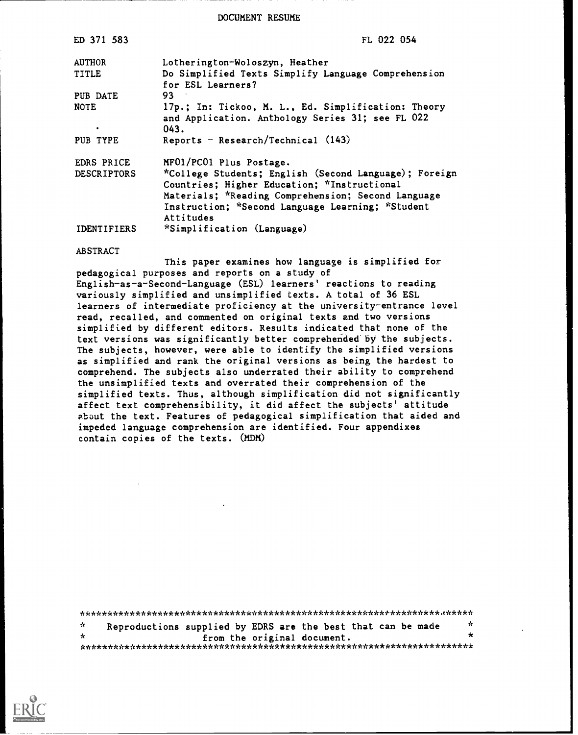DOCUMENT RESUME

| ED 371 583         | FL 022 054                                                                                                                                                                                                                  |
|--------------------|-----------------------------------------------------------------------------------------------------------------------------------------------------------------------------------------------------------------------------|
| <b>AUTHOR</b>      | Lotherington-Woloszyn, Heather                                                                                                                                                                                              |
| <b>TITLE</b>       | Do Simplified Texts Simplify Language Comprehension<br>for ESL Learners?                                                                                                                                                    |
| PUB DATE           | 93.                                                                                                                                                                                                                         |
| <b>NOTE</b><br>٠   | 17p.; In: Tickoo, M. L., Ed. Simplification: Theory<br>and Application. Anthology Series 31; see FL 022<br>043.                                                                                                             |
| PUB TYPE           | Reports - Research/Technical $(143)$                                                                                                                                                                                        |
| EDRS PRICE         | MF01/PC01 Plus Postage.                                                                                                                                                                                                     |
| <b>DESCRIPTORS</b> | *College Students; English (Second Language); Foreign<br>Countries; Higher Education; *Instructional<br>Materials; *Reading Comprehension; Second Language<br>Instruction; *Second Language Learning; *Student<br>Attitudes |
| IDENTIFIERS        | *Simplification (Language)                                                                                                                                                                                                  |

#### ABSTRACT

This paper examines how language is simplified for pedagogical purposes and reports on a study of English-as-a-Second-Language (ESL) learners' reactions to reading variously simplified and unsimplified texts. A total of 36 ESL learners of intermediate proficiency at the university-entrance level read, recalled, and commented on original texts and two versions simplified by different editors. Results indicated that none of the text versions was significantly better comprehended by the subjects. The subjects, however, were able to identify the simplified versions as simplified and rank the original versions as being the hardest to comprehend. The subjects also underrated their ability to comprehend the unsimplified texts and overrated their comprehension of the simplified texts. Thus, although simplification did not significantly affect text comprehensibility, it did affect the subjects' attitude pbout the text. Features of pedagogical simplification that aided and impeded language comprehension are identified. Four appendixes contain copies of the texts. (MDM)

\*\*\*\*\*\*\*\*\*\*\*\*\*\*\*\*\*\*\*\*\*\*\*\*\*\*\*\*\*\*\*\*\*\*\*\*\*\*\*\*\*\*\*\*\*\*\*\*\*\*\*\*\*\*\*\*\*\*\*\*\*\*\*\*\*x\*\*\*\*\*

 $\mathbf{\hat{x}}$ Reproductions supplied by EDRS are the best that can be made  $\frac{x}{x}$ from the original document. \*\*\*\*\*\*\*\*\*\*\*\*\*\*\*\*\*\*\*\*\*\*\*\*\*\*\*\*\*\*\*\*\*\*\*\*\*\*\*\*\*\*\*\*\*\*\*\*\*\*\*\*\*\*\*\*\*\*\*\*\*\*\*\*\*\*\*\*\*\*\*

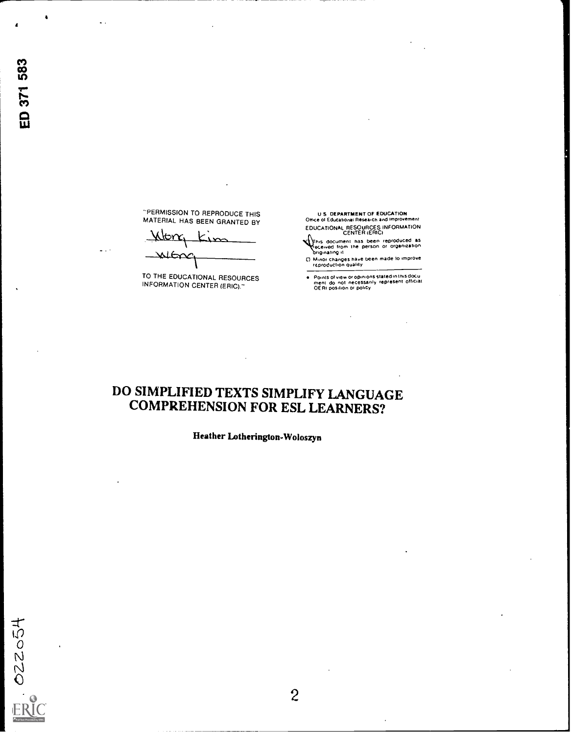-PERMISSION TO REPRODUCE THIS MATERIAL HAS BEEN GRANTED BY

Kton, Kin عكا

TO THE EDUCATIONAL RESOURCES INFORMATION CENTER (ERIC)."

u \$ DEPARTMENT OF EDUCATION Otrice 01 Educational Research and improvement EDUCATIONAL RESOURCES INFORMATION CENTER (ERIC)

Ihis document has been reproduced as<br>eceived from the person or organization<br>briginating it

0 Minor changes have Peen made to improve reproduCtiOn quality

Points of view or opinions stated in this docu<br>ment ido inot inecessarily represent officiat<br>OERI position or policy

# DO SIMPLIFIED TEXTS SIMPLIFY LANGUAGE COMPREHENSION FOR ESL LEARNERS?

Hesither Lotherington-Woloszyn

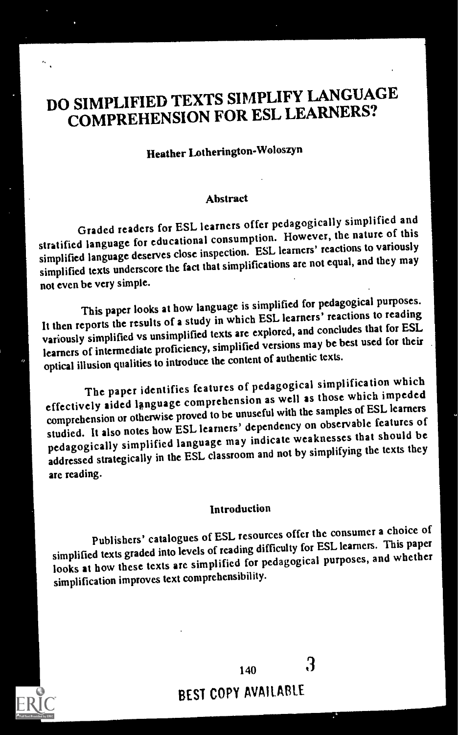# DO SIMPLIFIED TEXTS SIMPLIFY LANGUAGE COMPREHENSION FOR ESL LEARNERS?

# Heather Lotherington-Woloszyn

### Abstract

Graded readers for ESL learners offer pedagogically simplified and stratified language for educational consumption. However, the nature of this simplified language deserves close inspection. ESL learners' reactions to variously simplified texts underscore the fact that simplifications are not equal, and they may not even be very simple.

This paper looks at how language is simplified for pedagogical purposes. It then reports the results of a study in which ESL learners' reactions to reading variously simplified vs unsimplified texts are explored, and concludes that for ESL learners of intermediate proficiency, simplified versions may be best used for their optical illusion qualities to introduce the content of authentic texts.

The paper identifies features of pedagogical simplification which effectively aided language comprehension as well as those which impeded comprehension or otherwise proved to be unuseful with the samples of ESL learners studied. It also notes how ESL learners' dependency on observable features of pedagogically simplified language may indicate weaknesses that should be addressed strategically in the ESL classroom and not by simplifying the texts they are reading.

### Introduction

Publishers' catalogues of ESL resources offer the consumer a choice of simplified texts graded into levels of reading difficulty for ESL learners. This paper looks at how these texts are simplified for pedagogical purposes, and whether simplification improves text comprehensibility.



BEST COPY AVAILABLE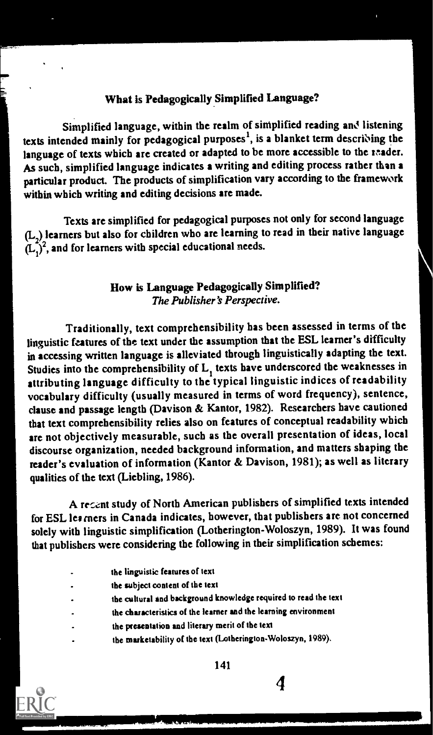### What is Pedagogically Simplified Language?

Simplified language, within the realm of simplified reading and listening texts intended mainly for pedagogical purposes<sup>1</sup>, is a blanket term describing the language of texts which are created or adapted to be more accessible to the mader. AS such, simplified language indicates a writing and editing process rather than a particular product. The products of simplification vary according to the framework within which writing and editing decisions are made.

Texts are simplified for pedagogical purposes not only for second language  $(L_2)$  learners but also for children who are learning to read in their native language  $(L_2)$  learners but also for children who are rearning to read<br> $(L_1)^2$ , and for learners with special educational needs.

### How is Language Pedagogically Simplified? The Publisher's Perspective.

Traditionally, text comprehensibility has been assessed in terms of the linguistic features of the text under the assumption that the ESL learner's difficulty in accessing written language is alleviated through linguistically adapting the text. Studies into the comprehensibility of L, texts have underscored the weaknesses in attributing language difficulty to the typical linguistic indices of readability vocabulary difficulty (usually measured in terms of word frequency), sentence, clause and passage length (Davison & Kantor, 1982). Researchers have cautioned that text comprehensibility relies also on features of conceptual readability which are not objectively measurable, such as the overall presentation of ideas, local discourse organization, needed background information, and matters shaping the reader's evaluation of information (Kantor & Davison, 1981); as well as literary qualities of the text (Liebling, 1986).

A recent study of North American publishers of simplified texts intended for ESL lea rners in Canada indicates, however, that publishers are not concerned solely with linguistic simplification (Lotherington-Woloszyn, 1989). It was found that publishers were considering the following in their simplification schemes:

- the linguistic features of text
- the subject content of the text
- the cultural and background knowledge required to read the text
- the characteristics of the learner and the learning environment
- the presentation and literary merit of the text
- the marketability of the text (Lotherington-Woloszyn, 1989).

141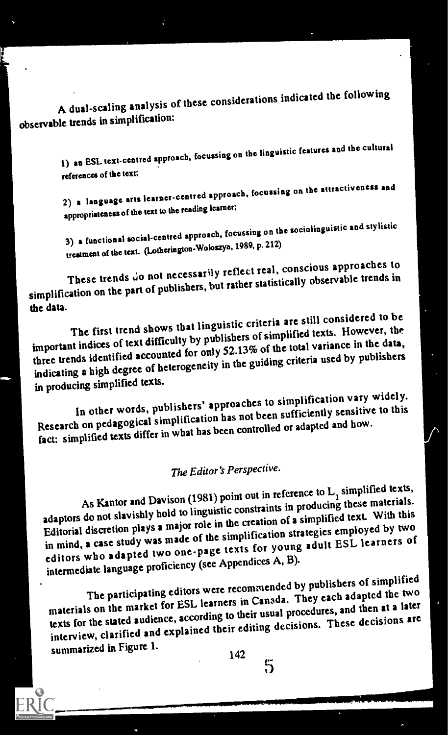A dual-scaling analysis of these considerations indicated the following observable trends in simplification:

 $\mathbf{v} = \mathbf{v}$ 

1) an ESL text-centred approach, focussing on the linguistic features and the cultural references of the text;

2) a language arts learner-centred approach, focussing on the attractiveness and appropriateness of the text to the reading learner;

3) a functional social-centred approach, focussing on the sociolinguistic and stylistic treatmeat of the text. (Lotherington-Woloszyn, 1989, p. 212)

These trends do not necessarily reflect real, conscious approaches to simplification on the part of publishers, but rather statistically observable trends in the data.

The first trend shows that linguistic criteria are still considered to be important indices of text difficulty by publishers of simplified texts. However, the three trends identified accounted for only 52.13% of the total variance in the data, indicating a high degree of heterogeneity in the guiding criteria used by publishers in producing simplified texts.

In other words, publishers' approaches to simplification vary widely. Research on pedagogical simplification has not been sufficiently sensitive to this fact: simplified texts differ in what has been controlled or adapted and how.

# The Editor's Perspective.

As Kantor and Davison (1981) point out in reference to  $L_i$  simplified texts, adaptors do not slavishly hold to linguistic constraints in producing these materials. Editorial discretion plays a major role in the creation of a simplified text. With this in mind, a case study was made of the simplification strategies employed by two editors who adapted two one-page texts for young adult ESL learners of intermediate language proficiency (see Appendices A, B).

The participating editors were recommended by publishers of simplified materials on the market for ESL learners in Canada. They each adapted the two texts for the stated audience, according to their usual procedures, and then at a later interview, clarified and explained their editing decisions. These decisions are summarized in Figure 1.

 $142 - 5$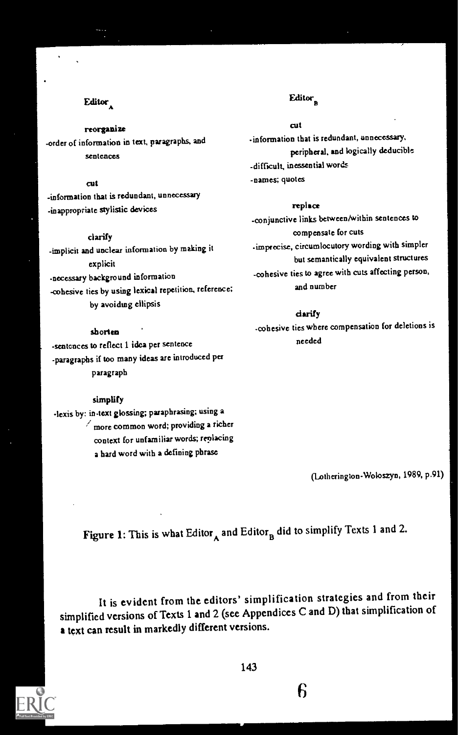### Editor $\Lambda$

#### reorganize

-order of information in text, paragraphs, and sentences

#### cut

-information that is redundant, unnecessary -inappropriate stylistic devices

### clarify

-implicit and unclear information by making it explicit -necessary background information -cohesive ties by using lexical repetition, reference; by avoiding ellipsis

### shorten

-sentences to reflect 1 idea per sentence -paragraphs if too many ideas are introduced per paragraph

#### simplify

-lexis by: in-text glossing; paraphrasing; using a  $\angle$  more common word; providing a richer context for unfamiliar words; replacing a hard word with a defining phrase

### Editor

#### cut

-information that is redundant, unnecessary, peripheral, and logically deducible -difficult, inessential words -names; quotes

#### replace

-conjunctive links between/within sentences to compensate for cuts -imprecise, circumlocutory wording with simpler but semantically equivalent structures -cohesive ties to agree with cuts affecting person, and number

### clarify

-cohesive ties where compensation for deletions is needed

(Lotherington-Woloszyn, 1989, p.91)

Figure 1: This is what Editor<sub>A</sub> and Editor<sub>B</sub> did to simplify Texts 1 and 2.

It is evident from the editors' simplification strategies and from their simplified versions of Texts 1 and 2 (see Appendices C and D) that simplification of a text can result in markedly different versions.

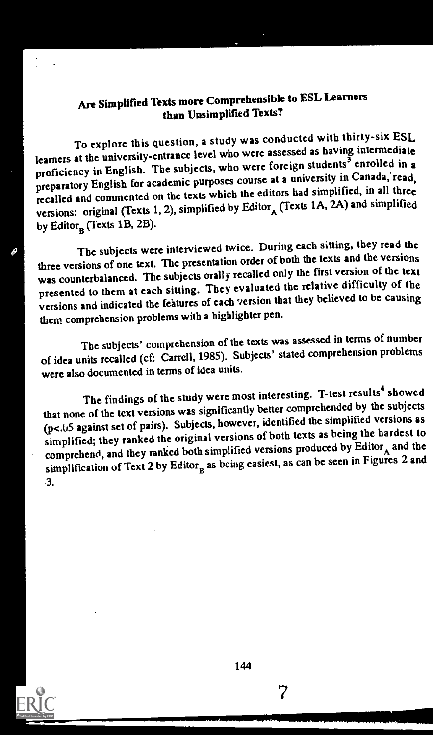## Are Simplified Texts more Comprehensible to ESL Learners than Unsimplified Texts?

To explore this question, a study was conducted with thirty-six ESL learners at the university-entrance level who were assessed as having intermediate proficiency in English. The subjects, who were foreign students<sup>3</sup> enrolled in a preparatory English for academic purposes course at a university in Canada, read. recalled and commented on the texts which the editors had simplified, in all three versions: original (Texts 1, 2), simplified by Editor  $\Lambda$  (Texts 1A, 2A) and simplified by Editor<sub>n</sub> (Texts 1B, 2B).

The subjects were interviewed twice. During each sitting, they read the three versions of one text. The presentation order of both the texts and the versions was counterbalanced. The subjects orally recalled only the first version of the text presented to them at each sitting. They evaluated the relative difficulty of the versions and indicated the features of each version that they believed to be causing them comprehension problems with a highlighter pen.

The subjects' comprehension of the texts was assessed in terms of number of idea units recalled (cf: Canell, 1985). Subjects' stated comprehension problems were also documented in terms of idea units.

The findings of the study were most interesting. T-test results<sup>4</sup> showed that none of the text versions was significantly better comprehended by the subjects (p<. 65 against set of pairs). Subjects, however, identified the simplified versions as simphfied; they ranked the original versions of both texts as being the hardest to comprehend, and they ranked both simplified versions produced by  $Editor_A$  and the simplification of Text 2 by Editor<sub>n</sub> as being easiest, as can be seen in Figures 2 and 3.



44° ary 2008.

144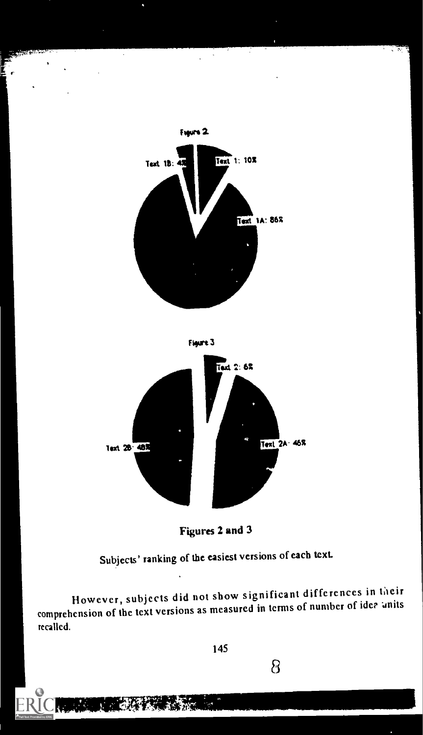

 $\sim$ 

t W





Figures 2 and 3

Subjects' ranking of the easiest versions of each text.

However, subjects did not show significant differences in their comprehension of the text versions as measured in terms of number of idea units recalled.

145

tr. Steam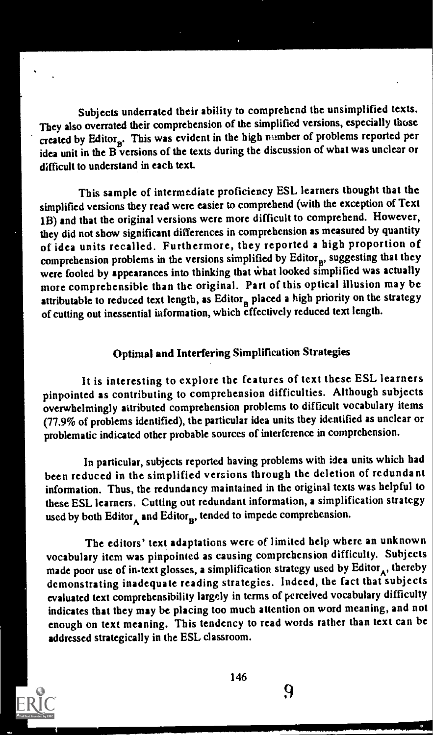Subjects underrated their ability to comprehend the unsimplified texts. They also overrated their comprehension of the simplified versions, especially those created by Editor<sub>n</sub>. This was evident in the high namber of problems reported per idea unit in the B versions of the texts during the discussion of what was unclear or difficult to understand in each text.

This sample of intermediate proficiency ESL learners thought that the simplified versions they read were easier to comprehend (with the exception of Text 1B) and that the original versions were more difficult to comprehend. However, they did not show significant differences in comprehension as measured by quantity of idea units recalled. Furthermore, they reported a high proportion of comprehension problems in the versions simplified by  $Editor_n$ , suggesting that they were fooled by appearances into thinking that what looked simplified was actually more comprehensible than the original. Part of this optical illusion may be attributable to reduced text length, as  $Editor<sub>n</sub>$  placed a high priority on the strategy of cutting out inessential information, which effectively reduced text length.

### Optimal and Interfering Simplification Strategies

It is interesting to explore the features of text these ESL learners pinpointed as contributing to comprehension difficulties. Although subjects overwhelmingly attributed comprehension problems to difficult vocabulary items (77.9% of problems identified), the particular idea units they identified as unclear or problematic indicated other probable sources of interference in comprehension.

In particular, subjects reported having problems with idea units which had been reduced in the simplified versions through the deletion of redundant information. Thus, the redundancy maintained in the original texts was helpful to these ESL learners. Cutting out redundant information, a simplification strategy used by both Editor<sub>A</sub> and Editor<sub>n</sub>, tended to impede comprehension.

The editors' text adaptations were of limited help where an unknown vocabulary item was pinpointed as causing comprehension difficulty. Subjects made poor use of in-text glosses, a simplification strategy used by Editor<sub>A</sub>, thereby demonstrating inadequate reading strategies. Indeed, the fact that subjects evaluated text comprehensibility largely in terms of perceived vocabulary difficulty indicates that they may be placing too much attention on word meaning, and not enough on text meaning. This tendency to read words rather than text can be addressed strategically in the ESL classroom.



146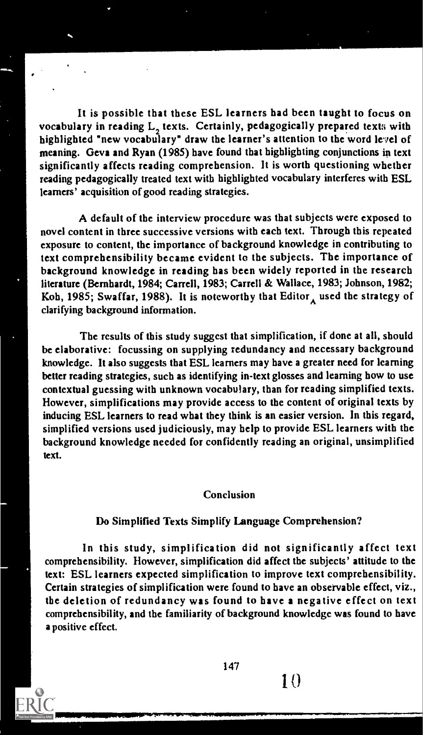It is possible that these ESL learners had been taught to focus on vocabulary in reading L<sub>2</sub> texts. Certainly, pedagogically prepared texts with highlighted 'new vocabulary" draw the learner's attention to the word le'vel of meaning. Geva and Ryan (1985) have found that highlighting conjunctions in text significantly affects reading comprehension. It is worth questioning whether reading pedagogically treated text with highlighted vocabulary interferes with ESL learners' acquisition of good reading strategies.

A default of the interview procedure was that subjects were exposed to novel content in three successive versions with each text. Through this repeated exposure to content, the importance of background knowledge in contributing to text comprehensibility became evident to the subjects. The importance of background knowledge in reading has been widely reported in the research literature (Bernhardt, 1984; Carrell, 1983; Carrell & Wallace, 1983; Johnson, 1982; Koh, 1985; Swaffar, 1988). It is noteworthy that Editor, used the strategy of clarifying background information.

The results of this study suggest that simplification, if done at all, should be elaborative: focussing on supplying redundancy and necessary background knowledge. It also suggests that ESL learners may have a greater need for learning better reading strategies, such as identifying in-text glosses and learning how to use contextual guessing with unknown vocabulary, than for reading simplified texts. However, simplifications may provide access to the content of original texts by inducing ESL learners to read what they think is an easier version. In this regard, simplified versions used judiciously, may help to provide ESL learners with the background knowledge needed for confidently reading an original, unsimplified text.

#### Conclusion

### Do Simplified Texts Simplify Language Comprehension?

In this study, simplification did not significantly affect text comprehensibility. However, simplification did affect the subjects' attitude to the text: ESL learners expected simplification to improve text comprehensibility. Certain strategies of simplification were found to have an observable effect, viz., the deletion of redundancy was found to have a negative effect on text comprehensibility, and the familiarity of background knowledge was found to have a positive effect.

147

 $1()$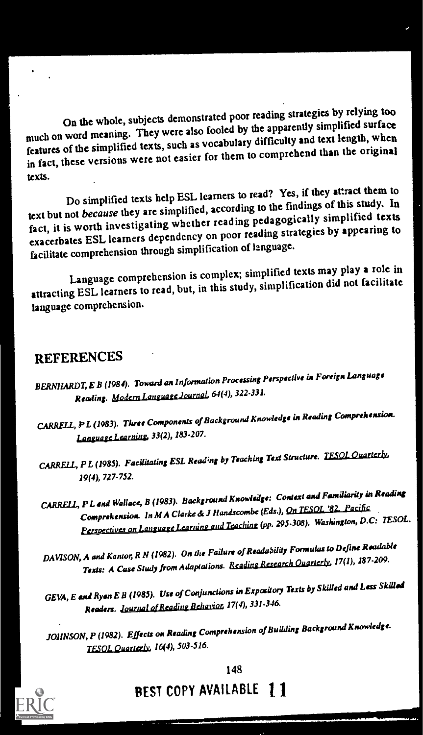On the whole, subjects demonstrated poor reading strategies by relying too much on word meaning. They were also fooled by the apparently simplified surface features of the simplified texts, such as vocabulary difficulty and text length, when in fact, these versions were not easier for them to comprehend than the original texts.

Do simplified texts help ESL learners to read? Yes, if they attract them to text but not because they are simplified, according to the findings of this study. In fact, it is worth investigating whether reading pedagogically simplified texts exacerbates ESL learners dependency on poor reading strategies by appearing to facilitate comprehension through simplification of language.

Language comprehension is complex; simplified texts may play a role in attracting ESL learners to read, but, in this study, simplification did not facilitate language comprehension.

## REFERENCES

- CARRELL, P L (1983). Three Components of Background Knowledge in Reading Comprehension. Language Learning, 33(2), 183-207.
- CARRELL, P L (1985). Facilitating ESL Reading by Teaching Text Structure. TESOL Quarterly, 19(4), 727-752.
- CARRELL, P L and Wallace, B (1983). Background Knowledge: Context and Familiarity in Reading Comprehension. In M A Clarke de J Handscombe (Eds.), On TESOL '82. Pacific Perspectives on Language Learning and Teaching (pp. 295-308). Washington, D.C: TESOL.
- DAVISON, A and Kantor, R N (1982). On the Failure of Readability Formulas to Define Readable Texts: A Case Study from Adaptations. Reading Research Quarterly, 17(1), 187-209.
- GEVA, E and Ryan E B (1985). Use of Conjunctions in Expository Texts by Skilled and Less Skilled Readers. <u>Journal of Reading Behavior</u>, 17(4), 331-346.
- JOHNSON, P (1982). Effects on Reading Comprehension of Building Background Knowledge. rEsOL Ouartedy, 16(4), 503-516.



# BEST COPY AVAILABLE 1 1

BERNHARDT, E B (1984). Toward an Information Processing Perspective in Foreign Language Reading. Modern Language Journal, 64(4), 322-331.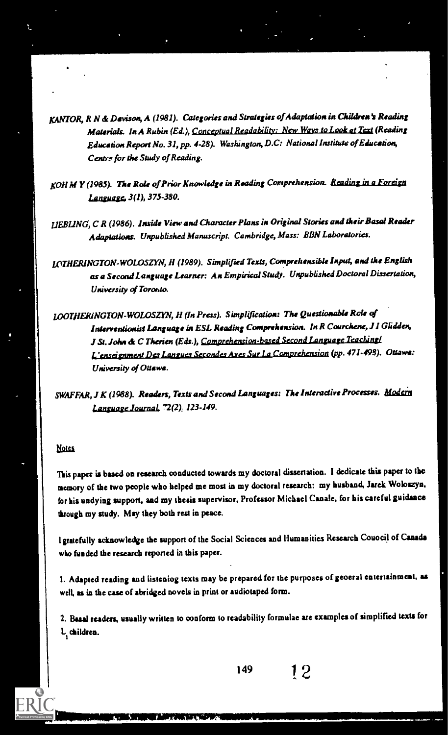KANTOR, R N & Davison, A (1981). Categories and Strategies of Adaptation in Children's Reading Materials. In A Rubin (Ed.), Conceptual Readability: New Ways to Look at Text (Reading Education Report No. 31, pp. 4-28). Washington, 1).C: National Institute of Education, Centre for the Study of Reading.

KOH M Y (1985). The Role of Prior Knowledge in Reading Comprehension. Reading in a Foreign Language, 3(1), 375-380.

LIEBLING, C R (1986). Inside View and Character Plans in Original Stories and their Basal Reader Adaptations. Unpublished Manuscript. Cambridge, Mass: BEN Laboratories.

10THERINGTON-WOLOSZYN, H (1989). Simplified Texts, Comprehensible Input, and the Englith as a Second language Learner: An Empirical Study. Unpublished Doctoral Dissertation, University of Toronto.

LOOTHERINGTON-WOLOSZYN, 11 (In Press). Simplification: The Questionable Role of Interventionist Language in ESL Reading Comprehension. In R Courchene, J I Glidden, J St. John & C Therien (Eds.), Comprehension-based Second Language Teaching! ondes Axes Sur La Comprehension (pp. 471-498). Ottawa: University of Ottawa.

SWAFFAR, J K (1988). Readers, Texts and Second Languages: The Interactive Processes. Modein Language Journal, 72(2): 123-149.

#### **Notes**

110 av

This paper is based on research oonducted towards my doctoral dissertation. I dedicate this paper to the memory of the two people who helped me most in my doctoral research: my husband, Jarek Woloszyn, for his undying support, and my thesis supervisor, Professor Michael Canale, for his careful guidance through my study. May they both rest in peace.

I gratefully acknowledge the support of the Social Sciences and Humanities Research Council ofCanada who funded the research reported in this paper.

1. Adapted reading and listeniog texts may be prepared for the purposes of geoeral entertainment, as well, as in the case of abridged novels in print or audiotaped form.

2. Basal readers, usually written to conform to readability formulae are examples of simplified texts for L children.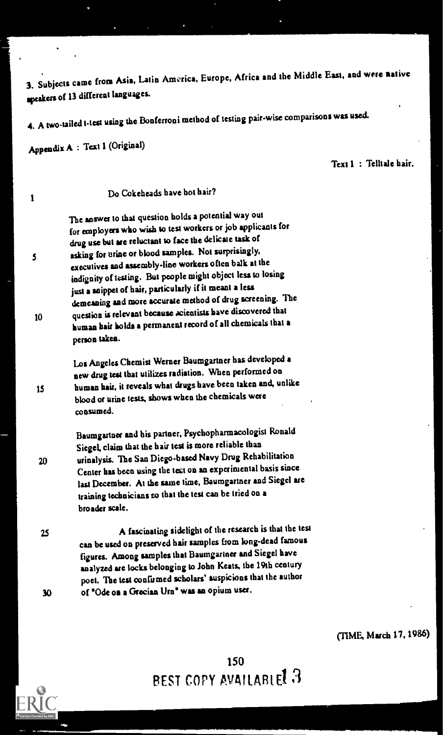3. Subjects came from Asia. Latin America, Europe, Africa and the Middle East, and were native speakers of 13 different languages.

4. A two-tailed t-test using the Bonferroni method of testing pair-wise comparisons was used.

Appendix A : Text 1 (Original)

 $\sim$ 

Text 1 : Telltale hair.

| 1       | Do Cokeheads have hot hair?                                                                                                                                                                                                                                                                                                                                                                                                                                                                                                                                                                                                                |  |
|---------|--------------------------------------------------------------------------------------------------------------------------------------------------------------------------------------------------------------------------------------------------------------------------------------------------------------------------------------------------------------------------------------------------------------------------------------------------------------------------------------------------------------------------------------------------------------------------------------------------------------------------------------------|--|
| 5<br>10 | The answer to that question holds a potential way out<br>for employers who wish to test workers or job applicants for<br>drug use but are reluctant to face the delicate task of<br>asking for urine or blood samples. Not surprisingly,<br>executives and assembly-line workers often balk at the<br>indignity of testing. But people might object less to losing<br>just a snippet of hair, particularly if it meant a less<br>demeaning and more accurate method of drug screening. The<br>question is relevant because acientists have discovered that<br>human hair holds a permanent record of all chemicals that a<br>person taken. |  |
| 15      | Los Angeles Chemist Werner Baumgartner has developed a<br>new drug test that utilizes radiation. When performed on<br>human hair, it reveals what drugs have been taken and, unlike<br>blood or urine tests, shows when the chemicals were<br>consumed.                                                                                                                                                                                                                                                                                                                                                                                    |  |
| 20      | Baumgartner and his partner, Psychopharmacologist Ronald<br>Siegel, claim that the hair test is more reliable than<br>urinalysis. The San Diego-based Navy Drug Rehabilitation<br>Center has been using the test on an experimental basis since<br>last December. At the same time, Baumgartner and Siegel are<br>training technicians to that the test can be tried on a<br>broader scale.                                                                                                                                                                                                                                                |  |
| 25      | A fascinating sidelight of the research is that the test<br>can be used on preserved hair samples from long-dead famous<br>figures. Among samples that Baumgariner and Siegel have<br>analyzed are locks belonging to John Keats, the 19th century<br>poet. The test confirmed scholars' suspicions that the author                                                                                                                                                                                                                                                                                                                        |  |
| 30      | of "Ode on a Grecian Urn" was an opium user.                                                                                                                                                                                                                                                                                                                                                                                                                                                                                                                                                                                               |  |
|         |                                                                                                                                                                                                                                                                                                                                                                                                                                                                                                                                                                                                                                            |  |

(TIME, March 17, 1986)

150 BEST COPY AVAILABLEL J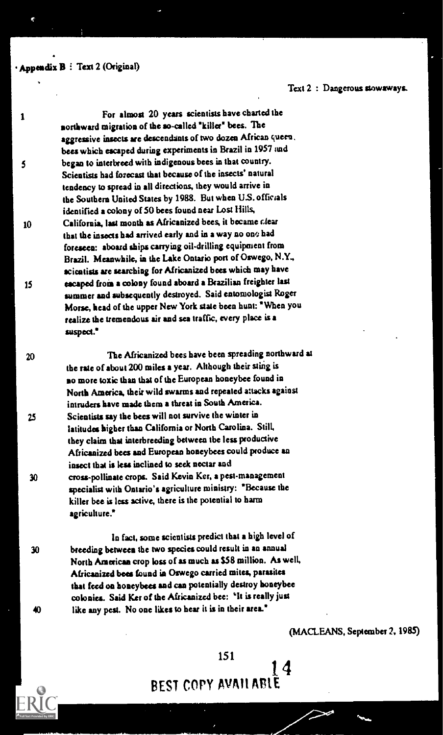Appendix B: Text 2 (Original)

Text 2 : Dangerous stowaways.

<sup>1</sup> For almost 20 years scientists have charted the sonhward migration of the so-called 'killer' bees. The aggressive insects are descendants of two dozen African queen. bees which escaped during experiments in Brazil in 1957 and 5 began to interbreed with indigenous bees in that country. Scientists had forecast that because of the insects' natural tendency to spread in all directions, they would arrive in the Southern United States by 1988. But when US. officals identified a colony of 50 bees found near Lost Hills, <sup>10</sup> California, last month as Africanized bees, it became clear that the insects had arrived early and in a way no one had foreseen: aboard ships carrying oil-drilling equipment from Brazil. Meanwhile, in the Lake Ontario port of Oswego, N.Y., scientists are searching for Africanized bees which may have <sup>15</sup> escaped from a colony found aboard a Brazilian freighter last summer and subsequently destroyed. Said entomologist Roger Morse, head of the upper New York state been bunt: 'When you realize the tremendous air and sea traffic, every place is a suspect.'

20 The Africanized bees have been spreading northward a: the rare of about 200 miles a year. Although their sting is no more toxic than that of the European honeybee found in North America, their wild swarms and repeated attacks against intruders have made them a threat in South America. <sup>25</sup> Scientists say the bees will not survive the winter in latitudes higher than California or North Carolina. Still, they claim that interbreeding between the less productive Africanized bees and European honeybees could produce an insect that is less inclined to seek nectar and 30 cross-pollinate crops. Said Kevin Ker, a pest-management specialist with Ontario's agriculture ministry: 'Because the killer bee is less active, there is the potential to harm agriculture."

In fact, some scientists predict that a high level of 30 breeding between the two species could result in au annual North American crop loss of as much as \$58 million. As well, Africanized bees found in Oswego carried mites, parasites that feed on honeybees and can potentially destroy honeybee colonies. Said Ker of the Africanized bee: `It is really just  $40$  like any pest. No one likes to hear it is in their area.<sup>\*</sup>

(MACLEANS, September 2, 1985)

 $151$  14  $14$ BEST COPY AVAILABLE

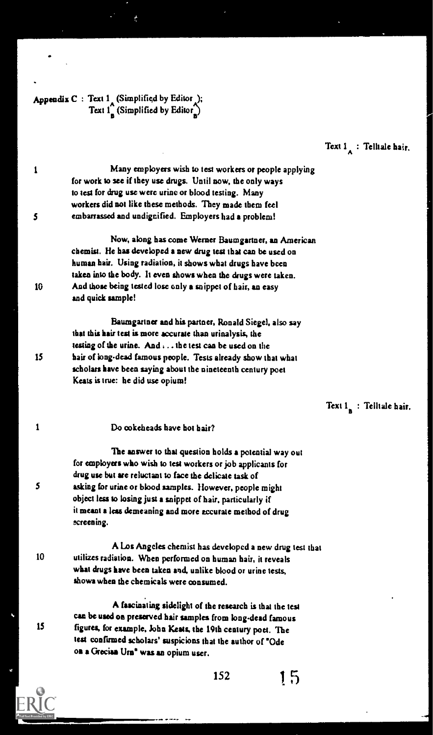### Appendix C : Text  $1$  (Simplified by Editor ); Text  $1^\circ$  (Simplified by Editor)

Text  $1$ : Telltale hair.

1 Many employers wish to test workers or people applying for work to see if they use drugs. Until now, the only ways to test for drug use were urine or blood testing. Many workers did not like these methods. They made them feel 5 embarrassed and undignified. Employers had a problem!

Now, along has come Werner Baumgartner, an American chemist. He has developed a new drug test that can be used on human hair. Using radiation, it shows what drugs have been taken into the body. It even shows when the drugs were taken. 10 And those being tested lose only a snippet of hair, an easy and quick sample!

Baumgartner and his partner, Ronald Siegel, also say that this hair test is more accurate than urinalysis, the testing of the urine. And ... the test caa be used on the 15 hair of king-dead famous people. Tests already show that what scholars have been saying about the nineteenth century poet Keats is true: he did use opium!

Text  $1$  : Telltale hair.

..

.,

<sup>1</sup> Do cokeheads have hot hair?

The answer to that question holds a potential way out for employers who wish to lest workers or job applicants for drug use but are reluctant to face the delicate task of 5 asking for urine Of blood samples. However, people might object less to losing just a snippet of hair, particularly if it meant a less demeaning and more accurate method of drug screening.

A Los Angeles chemist has developed a new drug test that 10 utilizes radiation. When performed on human hair, it reveals what drugs have been taken and, unlike blood or urine tests, shows when the chemicals were consumed.

A fascinating sidelight of the research is that the test can be used on preserved hair samples from long.dead famous <sup>15</sup> figures, for example, Sohn Keels, the 19th century poet. The test confirmed scholars' suspicions that the author of 'Ode os a Greciaa Uns" was an opium user.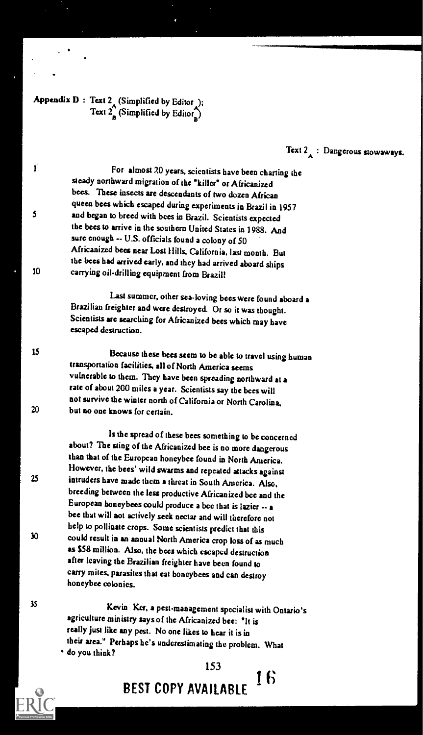### Appendix  $D$  : Text 2<sub>4</sub> (Simplified by Editor ); Text  $2^{\prime}$  (Simplified by Editor)

### Text  $2_{\mathsf{A}}$ : Dangerous stowaways.

For almost 20 years, scientists have been charting the steady northward migration of the 'killer' or Africanized bees. These insects are descendants of two dozen African queen bees which escaped during experiments in Brazil in 1957 5 and began to breed with bees in Brazil. Scientists expected the bees to arrive in the southern United States in 1988. And sure enough -- U.S. officials found a colony of 50 Africanized bees near Lost Hills, California, last month. But the bees had arrived early, and they had arrived aboard ships <sup>10</sup> carrying oil-drilling equipment from Brazil!

> Last summer, other sea-loving bees were found aboard a Brazilian freighter and were destroyed. Or so it was thought. Scientists are searching for Africanized bees which may have escaped destruction.

<sup>15</sup> Because these bees seem to be able to travel using human transportation facilities, all of North America seems vulnerable to them. They have been spreading northwardat a rate of about 200 miles a year. Scientists say the bees will not survive the winter north of California or North Carolina. 20 but no one knows for certain.

Is the spread of these bees something to be concerned about? The sting of the Africanized bee is no more dangerous than that of the European honeybee found in North America.<br>However, the bees' wild swarms and repeated attacks against 25 intruders have made them a threat in South America. Also, breeding between the less productive Africanized bee and the European honeybees could produce a bee that is lazier -- a bee that will not actively seek nectar and will therefore not help to pollinate crops. Some scientists predict that this <sup>30</sup> could result in an annual North America crop loss of as much as \$58 million. Also, the bees which escaped destruction after leaving the Brazilian freighter have been found to carry mites, parasites that eat honeybees and can destroy honeybee colonies.

<sup>35</sup> Kevin Ker, a pest-management specialist with Ontario's agriculture ministry says of the Africanized bee: 'It is really just like any pest. No one likes to hear it is in their area." Perhaps he's underestimating the problem. What - do you think?

> 16 BEST COPY AVAILABLE

153



ſ